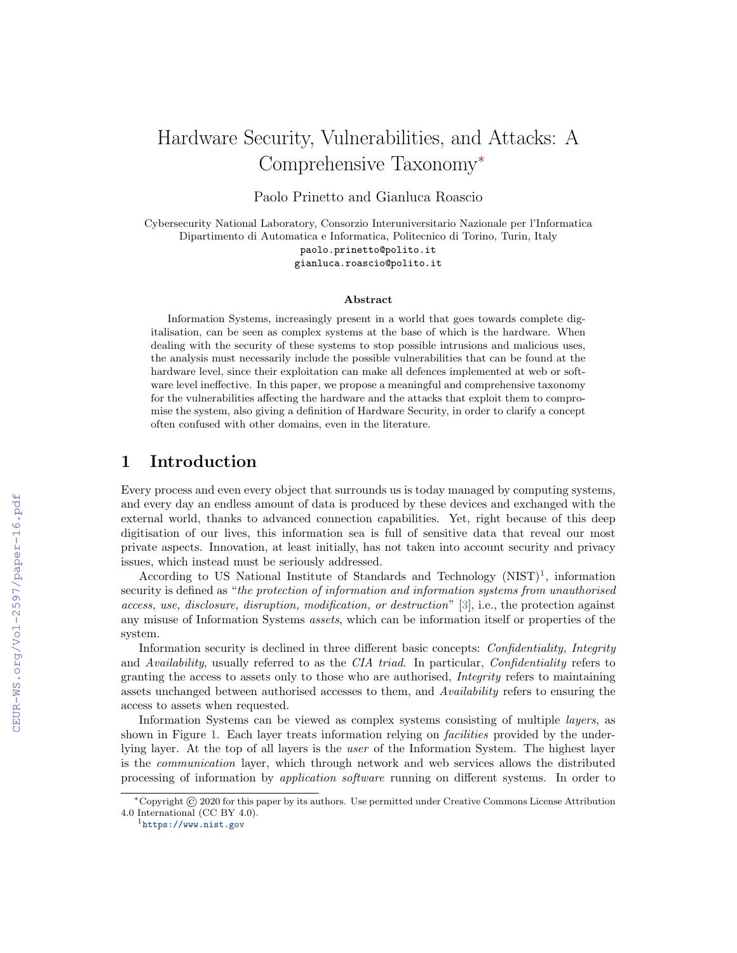# Hardware Security, Vulnerabilities, and Attacks: A Comprehensive Taxonomy<sup>∗</sup>

Paolo Prinetto and Gianluca Roascio

Cybersecurity National Laboratory, Consorzio Interuniversitario Nazionale per l'Informatica Dipartimento di Automatica e Informatica, Politecnico di Torino, Turin, Italy paolo.prinetto@polito.it gianluca.roascio@polito.it

#### Abstract

Information Systems, increasingly present in a world that goes towards complete digitalisation, can be seen as complex systems at the base of which is the hardware. When dealing with the security of these systems to stop possible intrusions and malicious uses, the analysis must necessarily include the possible vulnerabilities that can be found at the hardware level, since their exploitation can make all defences implemented at web or software level ineffective. In this paper, we propose a meaningful and comprehensive taxonomy for the vulnerabilities affecting the hardware and the attacks that exploit them to compromise the system, also giving a definition of Hardware Security, in order to clarify a concept often confused with other domains, even in the literature.

# 1 Introduction

Every process and even every object that surrounds us is today managed by computing systems, and every day an endless amount of data is produced by these devices and exchanged with the external world, thanks to advanced connection capabilities. Yet, right because of this deep digitisation of our lives, this information sea is full of sensitive data that reveal our most private aspects. Innovation, at least initially, has not taken into account security and privacy issues, which instead must be seriously addressed.

According to US National Institute of Standards and Technology  $(NIST)^1$  $(NIST)^1$ , information security is defined as "the protection of information and information systems from unauthorised access, use, disclosure, disruption, modification, or destruction" [\[3\]](#page--1-0), i.e., the protection against any misuse of Information Systems assets, which can be information itself or properties of the system.

Information security is declined in three different basic concepts: Confidentiality, Integrity and Availability, usually referred to as the CIA triad. In particular, Confidentiality refers to granting the access to assets only to those who are authorised, Integrity refers to maintaining assets unchanged between authorised accesses to them, and Availability refers to ensuring the access to assets when requested.

Information Systems can be viewed as complex systems consisting of multiple layers, as shown in Figure [1.](#page--1-1) Each layer treats information relying on *facilities* provided by the underlying layer. At the top of all layers is the user of the Information System. The highest layer is the communication layer, which through network and web services allows the distributed processing of information by application software running on different systems. In order to

<sup>∗</sup>Copyright © 2020 for this paper by its authors. Use permitted under Creative Commons License Attribution 4.0 International (CC BY 4.0).

<span id="page-0-0"></span><sup>1</sup><https://www.nist.gov>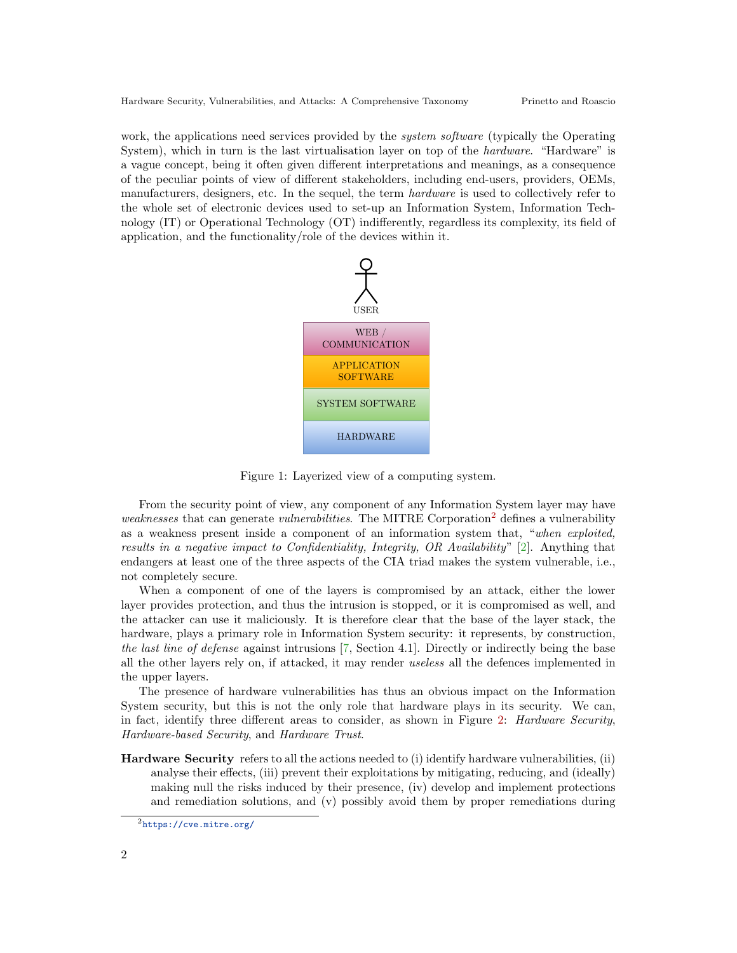work, the applications need services provided by the *system software* (typically the Operating System), which in turn is the last virtualisation layer on top of the *hardware*. "Hardware" is a vague concept, being it often given different interpretations and meanings, as a consequence of the peculiar points of view of different stakeholders, including end-users, providers, OEMs, manufacturers, designers, etc. In the sequel, the term hardware is used to collectively refer to the whole set of electronic devices used to set-up an Information System, Information Technology (IT) or Operational Technology (OT) indifferently, regardless its complexity, its field of application, and the functionality/role of the devices within it.



<span id="page-1-1"></span>Figure 1: Layerized view of a computing system.

From the security point of view, any component of any Information System layer may have weaknesses that can generate *vulnerabilities*. The MITRE Corporation<sup>[2](#page-1-0)</sup> defines a vulnerability as a weakness present inside a component of an information system that, "when exploited, results in a negative impact to Confidentiality, Integrity, OR Availability" [\[2\]](#page-9-0). Anything that endangers at least one of the three aspects of the CIA triad makes the system vulnerable, i.e., not completely secure.

When a component of one of the layers is compromised by an attack, either the lower layer provides protection, and thus the intrusion is stopped, or it is compromised as well, and the attacker can use it maliciously. It is therefore clear that the base of the layer stack, the hardware, plays a primary role in Information System security: it represents, by construction, the last line of defense against intrusions [\[7,](#page-10-0) Section 4.1]. Directly or indirectly being the base all the other layers rely on, if attacked, it may render useless all the defences implemented in the upper layers.

The presence of hardware vulnerabilities has thus an obvious impact on the Information System security, but this is not the only role that hardware plays in its security. We can, in fact, identify three different areas to consider, as shown in Figure [2:](#page-2-0) *Hardware Security*, Hardware-based Security, and Hardware Trust.

Hardware Security refers to all the actions needed to (i) identify hardware vulnerabilities, (ii) analyse their effects, (iii) prevent their exploitations by mitigating, reducing, and (ideally) making null the risks induced by their presence, (iv) develop and implement protections and remediation solutions, and (v) possibly avoid them by proper remediations during

<span id="page-1-0"></span><sup>2</sup><https://cve.mitre.org/>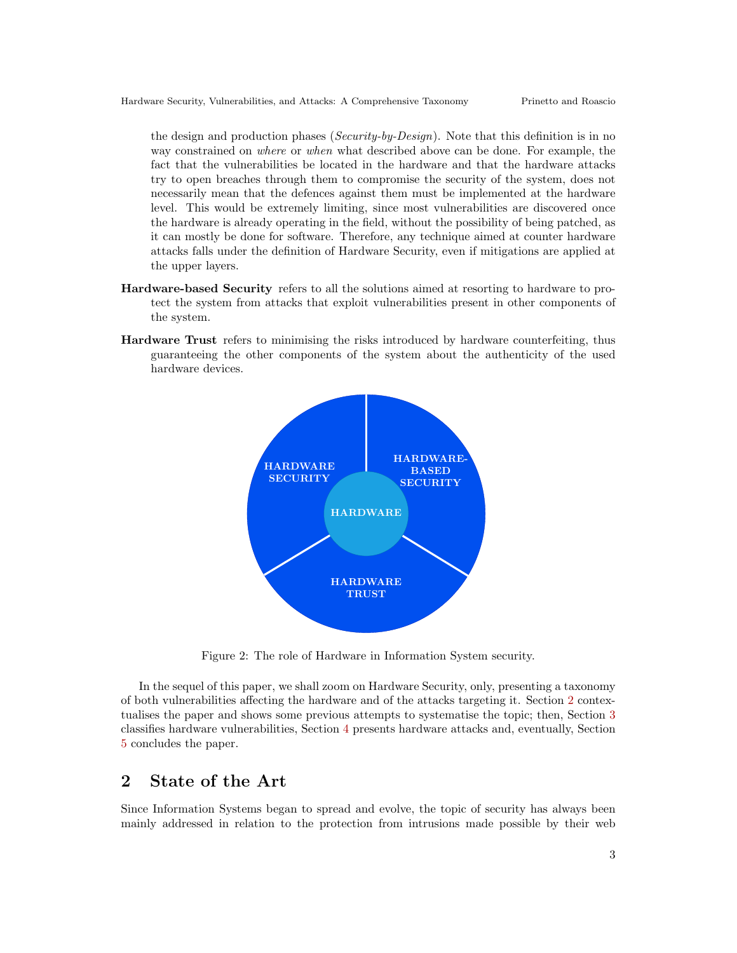the design and production phases (Security-by-Design). Note that this definition is in no way constrained on where or when what described above can be done. For example, the fact that the vulnerabilities be located in the hardware and that the hardware attacks try to open breaches through them to compromise the security of the system, does not necessarily mean that the defences against them must be implemented at the hardware level. This would be extremely limiting, since most vulnerabilities are discovered once the hardware is already operating in the field, without the possibility of being patched, as it can mostly be done for software. Therefore, any technique aimed at counter hardware attacks falls under the definition of Hardware Security, even if mitigations are applied at the upper layers.

- Hardware-based Security refers to all the solutions aimed at resorting to hardware to protect the system from attacks that exploit vulnerabilities present in other components of the system.
- Hardware Trust refers to minimising the risks introduced by hardware counterfeiting, thus guaranteeing the other components of the system about the authenticity of the used hardware devices.



<span id="page-2-0"></span>Figure 2: The role of Hardware in Information System security.

In the sequel of this paper, we shall zoom on Hardware Security, only, presenting a taxonomy of both vulnerabilities affecting the hardware and of the attacks targeting it. Section [2](#page-2-1) contextualises the paper and shows some previous attempts to systematise the topic; then, Section [3](#page-4-0) classifies hardware vulnerabilities, Section [4](#page-5-0) presents hardware attacks and, eventually, Section [5](#page-9-1) concludes the paper.

# <span id="page-2-1"></span>2 State of the Art

Since Information Systems began to spread and evolve, the topic of security has always been mainly addressed in relation to the protection from intrusions made possible by their web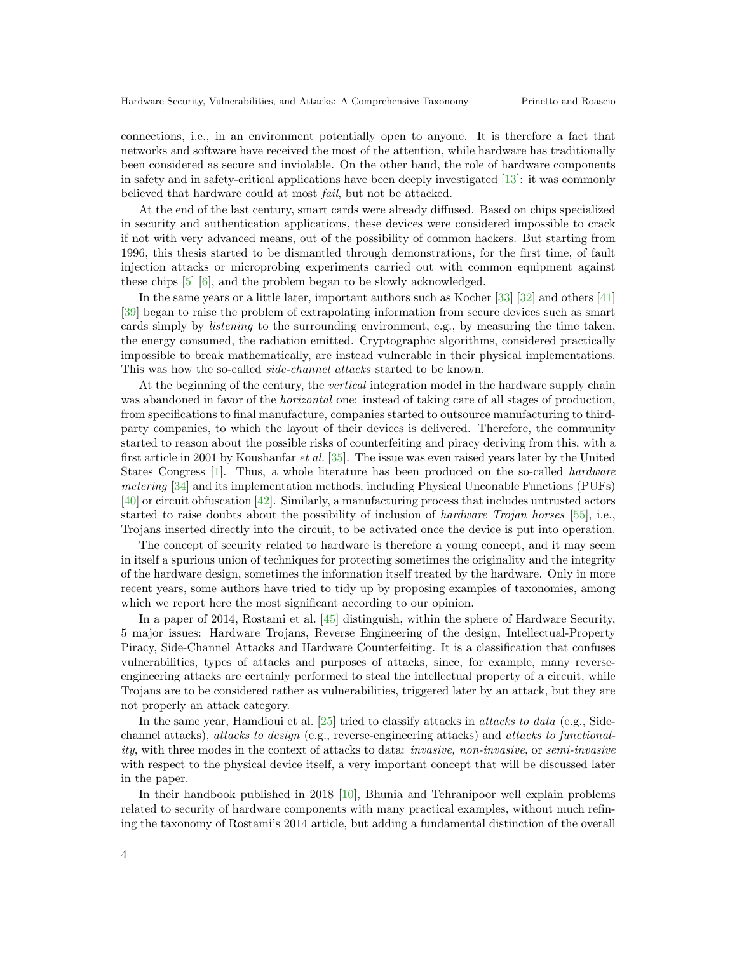connections, i.e., in an environment potentially open to anyone. It is therefore a fact that networks and software have received the most of the attention, while hardware has traditionally been considered as secure and inviolable. On the other hand, the role of hardware components in safety and in safety-critical applications have been deeply investigated [\[13\]](#page-10-1): it was commonly believed that hardware could at most fail, but not be attacked.

At the end of the last century, smart cards were already diffused. Based on chips specialized in security and authentication applications, these devices were considered impossible to crack if not with very advanced means, out of the possibility of common hackers. But starting from 1996, this thesis started to be dismantled through demonstrations, for the first time, of fault injection attacks or microprobing experiments carried out with common equipment against these chips [\[5\]](#page-10-2) [\[6\]](#page-10-3), and the problem began to be slowly acknowledged.

In the same years or a little later, important authors such as Kocher [\[33\]](#page-11-0) [\[32\]](#page-11-1) and others [\[41\]](#page-11-2) [\[39\]](#page-11-3) began to raise the problem of extrapolating information from secure devices such as smart cards simply by listening to the surrounding environment, e.g., by measuring the time taken, the energy consumed, the radiation emitted. Cryptographic algorithms, considered practically impossible to break mathematically, are instead vulnerable in their physical implementations. This was how the so-called *side-channel attacks* started to be known.

At the beginning of the century, the vertical integration model in the hardware supply chain was abandoned in favor of the *horizontal* one: instead of taking care of all stages of production, from specifications to final manufacture, companies started to outsource manufacturing to thirdparty companies, to which the layout of their devices is delivered. Therefore, the community started to reason about the possible risks of counterfeiting and piracy deriving from this, with a first article in 2001 by Koushanfar et al. [\[35\]](#page-11-4). The issue was even raised years later by the United States Congress [\[1\]](#page-9-2). Thus, a whole literature has been produced on the so-called hardware metering [\[34\]](#page-11-5) and its implementation methods, including Physical Unconable Functions (PUFs) [\[40\]](#page-11-6) or circuit obfuscation [\[42\]](#page-11-7). Similarly, a manufacturing process that includes untrusted actors started to raise doubts about the possibility of inclusion of hardware Trojan horses [\[55\]](#page-12-0), i.e., Trojans inserted directly into the circuit, to be activated once the device is put into operation.

The concept of security related to hardware is therefore a young concept, and it may seem in itself a spurious union of techniques for protecting sometimes the originality and the integrity of the hardware design, sometimes the information itself treated by the hardware. Only in more recent years, some authors have tried to tidy up by proposing examples of taxonomies, among which we report here the most significant according to our opinion.

In a paper of 2014, Rostami et al. [\[45\]](#page-12-1) distinguish, within the sphere of Hardware Security, 5 major issues: Hardware Trojans, Reverse Engineering of the design, Intellectual-Property Piracy, Side-Channel Attacks and Hardware Counterfeiting. It is a classification that confuses vulnerabilities, types of attacks and purposes of attacks, since, for example, many reverseengineering attacks are certainly performed to steal the intellectual property of a circuit, while Trojans are to be considered rather as vulnerabilities, triggered later by an attack, but they are not properly an attack category.

In the same year, Hamdioui et al. [\[25\]](#page-11-8) tried to classify attacks in *attacks to data* (e.g., Sidechannel attacks), attacks to design (e.g., reverse-engineering attacks) and attacks to functionality, with three modes in the context of attacks to data: invasive, non-invasive, or semi-invasive with respect to the physical device itself, a very important concept that will be discussed later in the paper.

In their handbook published in 2018 [\[10\]](#page-10-4), Bhunia and Tehranipoor well explain problems related to security of hardware components with many practical examples, without much refining the taxonomy of Rostami's 2014 article, but adding a fundamental distinction of the overall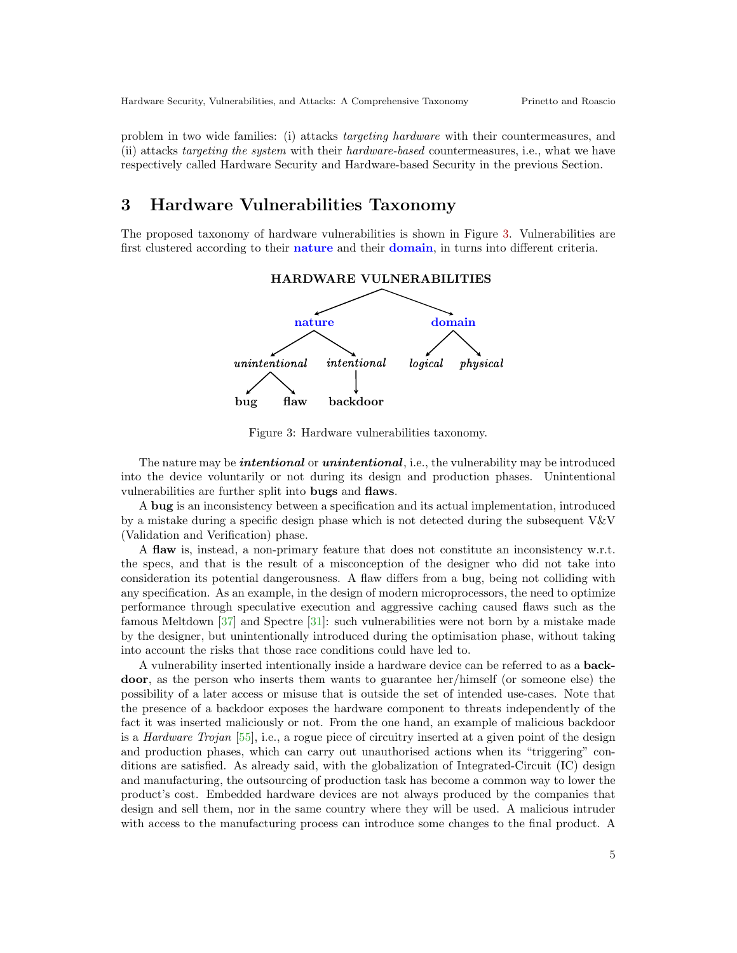problem in two wide families: (i) attacks targeting hardware with their countermeasures, and (ii) attacks targeting the system with their hardware-based countermeasures, i.e., what we have respectively called Hardware Security and Hardware-based Security in the previous Section.

# <span id="page-4-0"></span>3 Hardware Vulnerabilities Taxonomy

The proposed taxonomy of hardware vulnerabilities is shown in Figure [3.](#page-4-1) Vulnerabilities are first clustered according to their **nature** and their **domain**, in turns into different criteria.



<span id="page-4-1"></span>Figure 3: Hardware vulnerabilities taxonomy.

The nature may be *intentional* or *unintentional*, i.e., the vulnerability may be introduced into the device voluntarily or not during its design and production phases. Unintentional vulnerabilities are further split into bugs and flaws.

A bug is an inconsistency between a specification and its actual implementation, introduced by a mistake during a specific design phase which is not detected during the subsequent V&V (Validation and Verification) phase.

A flaw is, instead, a non-primary feature that does not constitute an inconsistency w.r.t. the specs, and that is the result of a misconception of the designer who did not take into consideration its potential dangerousness. A flaw differs from a bug, being not colliding with any specification. As an example, in the design of modern microprocessors, the need to optimize performance through speculative execution and aggressive caching caused flaws such as the famous Meltdown [\[37\]](#page-11-9) and Spectre [\[31\]](#page-11-10): such vulnerabilities were not born by a mistake made by the designer, but unintentionally introduced during the optimisation phase, without taking into account the risks that those race conditions could have led to.

A vulnerability inserted intentionally inside a hardware device can be referred to as a backdoor, as the person who inserts them wants to guarantee her/himself (or someone else) the possibility of a later access or misuse that is outside the set of intended use-cases. Note that the presence of a backdoor exposes the hardware component to threats independently of the fact it was inserted maliciously or not. From the one hand, an example of malicious backdoor is a *Hardware Trojan* [\[55\]](#page-12-0), i.e., a rogue piece of circuitry inserted at a given point of the design and production phases, which can carry out unauthorised actions when its "triggering" conditions are satisfied. As already said, with the globalization of Integrated-Circuit (IC) design and manufacturing, the outsourcing of production task has become a common way to lower the product's cost. Embedded hardware devices are not always produced by the companies that design and sell them, nor in the same country where they will be used. A malicious intruder with access to the manufacturing process can introduce some changes to the final product. A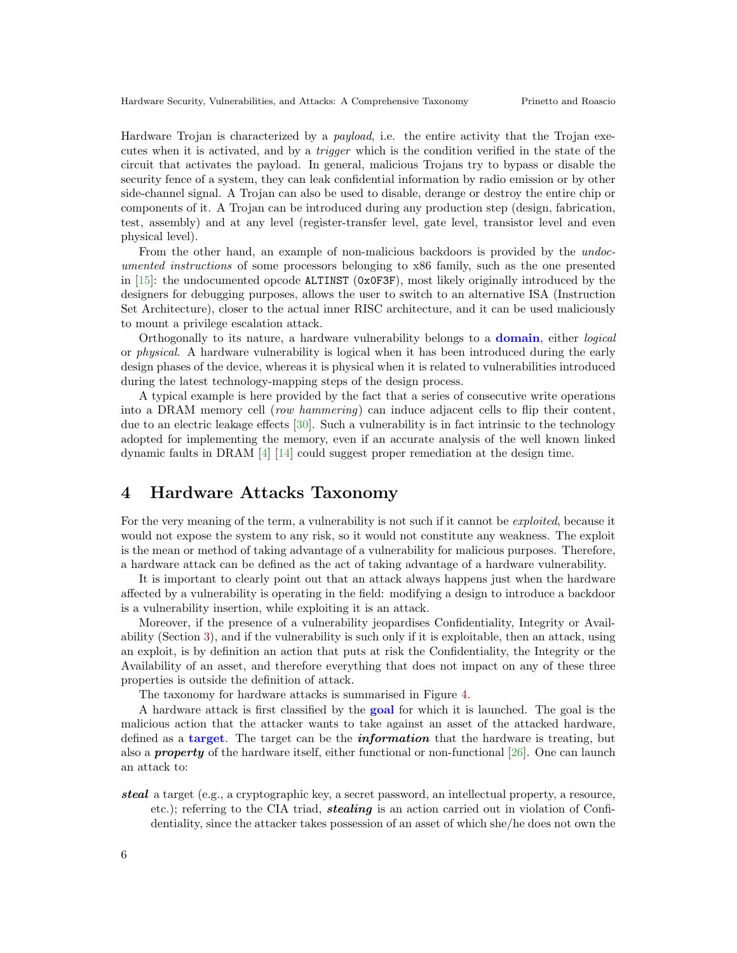Hardware Trojan is characterized by a payload, i.e. the entire activity that the Trojan executes when it is activated, and by a trigger which is the condition verified in the state of the circuit that activates the payload. In general, malicious Trojans try to bypass or disable the security fence of a system, they can leak confidential information by radio emission or by other side-channel signal. A Trojan can also be used to disable, derange or destroy the entire chip or components of it. A Trojan can be introduced during any production step (design, fabrication, test, assembly) and at any level (register-transfer level, gate level, transistor level and even physical level).

From the other hand, an example of non-malicious backdoors is provided by the undocumented instructions of some processors belonging to x86 family, such as the one presented in  $[15]$ : the undocumented opcode **ALTINST** ( $0x0F3F$ ), most likely originally introduced by the designers for debugging purposes, allows the user to switch to an alternative ISA (Instruction Set Architecture), closer to the actual inner RISC architecture, and it can be used maliciously to mount a privilege escalation attack.

Orthogonally to its nature, a hardware vulnerability belongs to a domain, either logical or physical. A hardware vulnerability is logical when it has been introduced during the early design phases of the device, whereas it is physical when it is related to vulnerabilities introduced during the latest technology-mapping steps of the design process.

A typical example is here provided by the fact that a series of consecutive write operations into a DRAM memory cell (row hammering) can induce adjacent cells to flip their content, due to an electric leakage effects [\[30\]](#page-11-11). Such a vulnerability is in fact intrinsic to the technology adopted for implementing the memory, even if an accurate analysis of the well known linked dynamic faults in DRAM [\[4\]](#page-10-6) [\[14\]](#page-10-7) could suggest proper remediation at the design time.

# <span id="page-5-0"></span>4 Hardware Attacks Taxonomy

For the very meaning of the term, a vulnerability is not such if it cannot be *exploited*, because it would not expose the system to any risk, so it would not constitute any weakness. The exploit is the mean or method of taking advantage of a vulnerability for malicious purposes. Therefore, a hardware attack can be defined as the act of taking advantage of a hardware vulnerability.

It is important to clearly point out that an attack always happens just when the hardware affected by a vulnerability is operating in the field: modifying a design to introduce a backdoor is a vulnerability insertion, while exploiting it is an attack.

Moreover, if the presence of a vulnerability jeopardises Confidentiality, Integrity or Availability (Section [3\)](#page-4-0), and if the vulnerability is such only if it is exploitable, then an attack, using an exploit, is by definition an action that puts at risk the Confidentiality, the Integrity or the Availability of an asset, and therefore everything that does not impact on any of these three properties is outside the definition of attack.

The taxonomy for hardware attacks is summarised in Figure [4.](#page-6-0)

A hardware attack is first classified by the goal for which it is launched. The goal is the malicious action that the attacker wants to take against an asset of the attacked hardware, defined as a **target**. The target can be the *information* that the hardware is treating, but also a **property** of the hardware itself, either functional or non-functional  $[26]$ . One can launch an attack to:

steal a target (e.g., a cryptographic key, a secret password, an intellectual property, a resource, etc.); referring to the CIA triad, stealing is an action carried out in violation of Confidentiality, since the attacker takes possession of an asset of which she/he does not own the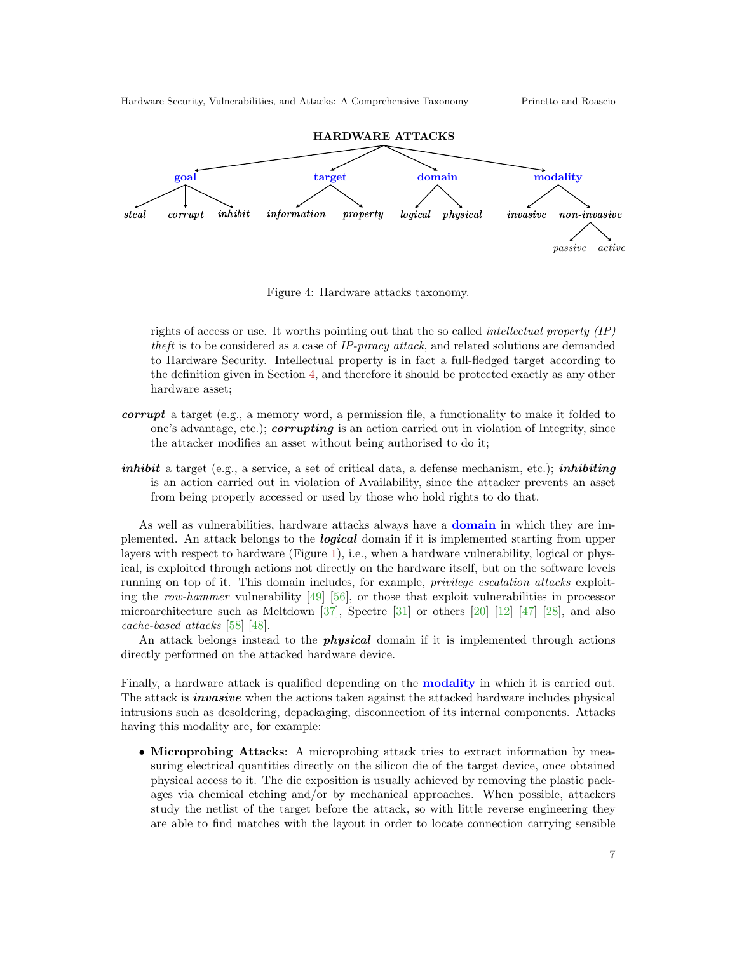



<span id="page-6-0"></span>Figure 4: Hardware attacks taxonomy.

rights of access or use. It worths pointing out that the so called intellectual property (IP) theft is to be considered as a case of IP-piracy attack, and related solutions are demanded to Hardware Security. Intellectual property is in fact a full-fledged target according to the definition given in Section [4,](#page-5-0) and therefore it should be protected exactly as any other hardware asset;

- *corrupt* a target (e.g., a memory word, a permission file, a functionality to make it folded to one's advantage, etc.); *corrupting* is an action carried out in violation of Integrity, since the attacker modifies an asset without being authorised to do it;
- *inhibit* a target (e.g., a service, a set of critical data, a defense mechanism, etc.); *inhibiting* is an action carried out in violation of Availability, since the attacker prevents an asset from being properly accessed or used by those who hold rights to do that.

As well as vulnerabilities, hardware attacks always have a domain in which they are implemented. An attack belongs to the logical domain if it is implemented starting from upper layers with respect to hardware (Figure [1\)](#page-1-1), i.e., when a hardware vulnerability, logical or physical, is exploited through actions not directly on the hardware itself, but on the software levels running on top of it. This domain includes, for example, privilege escalation attacks exploiting the row-hammer vulnerability  $[49]$  [\[56\]](#page-12-3), or those that exploit vulnerabilities in processor microarchitecture such as Meltdown [\[37\]](#page-11-9), Spectre [\[31\]](#page-11-10) or others [\[20\]](#page-10-8) [\[12\]](#page-10-9) [\[47\]](#page-12-4) [\[28\]](#page-11-13), and also cache-based attacks [\[58\]](#page-12-5) [\[48\]](#page-12-6).

An attack belongs instead to the *physical* domain if it is implemented through actions directly performed on the attacked hardware device.

Finally, a hardware attack is qualified depending on the modality in which it is carried out. The attack is *invasive* when the actions taken against the attacked hardware includes physical intrusions such as desoldering, depackaging, disconnection of its internal components. Attacks having this modality are, for example:

• Microprobing Attacks: A microprobing attack tries to extract information by measuring electrical quantities directly on the silicon die of the target device, once obtained physical access to it. The die exposition is usually achieved by removing the plastic packages via chemical etching and/or by mechanical approaches. When possible, attackers study the netlist of the target before the attack, so with little reverse engineering they are able to find matches with the layout in order to locate connection carrying sensible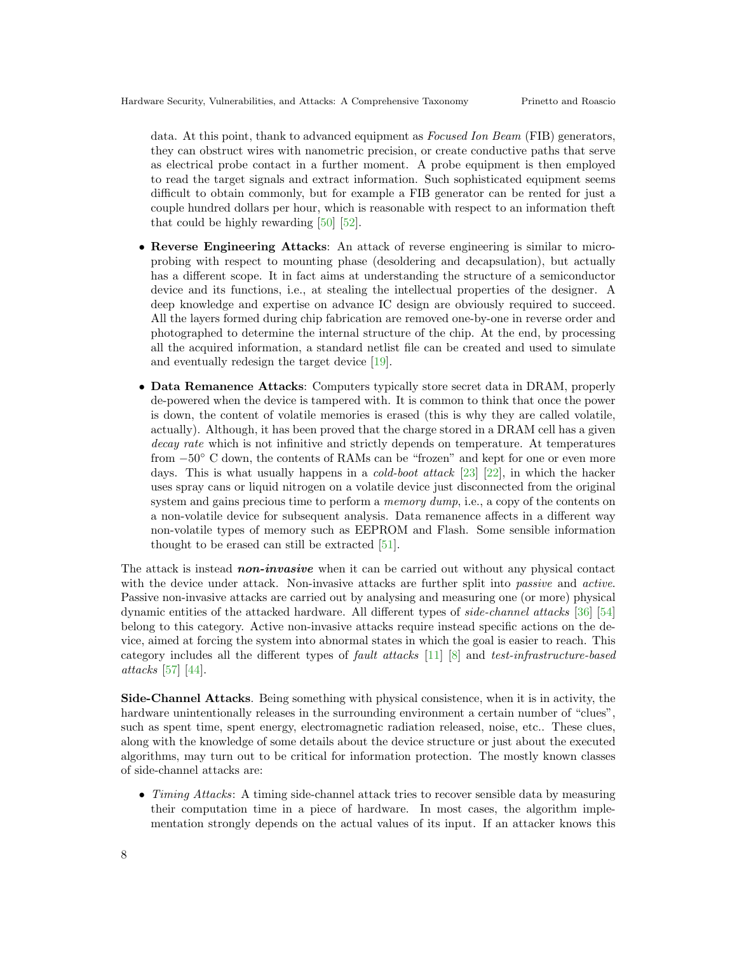data. At this point, thank to advanced equipment as Focused Ion Beam (FIB) generators, they can obstruct wires with nanometric precision, or create conductive paths that serve as electrical probe contact in a further moment. A probe equipment is then employed to read the target signals and extract information. Such sophisticated equipment seems difficult to obtain commonly, but for example a FIB generator can be rented for just a couple hundred dollars per hour, which is reasonable with respect to an information theft that could be highly rewarding [\[50\]](#page-12-7) [\[52\]](#page-12-8).

- Reverse Engineering Attacks: An attack of reverse engineering is similar to microprobing with respect to mounting phase (desoldering and decapsulation), but actually has a different scope. It in fact aims at understanding the structure of a semiconductor device and its functions, i.e., at stealing the intellectual properties of the designer. A deep knowledge and expertise on advance IC design are obviously required to succeed. All the layers formed during chip fabrication are removed one-by-one in reverse order and photographed to determine the internal structure of the chip. At the end, by processing all the acquired information, a standard netlist file can be created and used to simulate and eventually redesign the target device [\[19\]](#page-10-10).
- Data Remanence Attacks: Computers typically store secret data in DRAM, properly de-powered when the device is tampered with. It is common to think that once the power is down, the content of volatile memories is erased (this is why they are called volatile, actually). Although, it has been proved that the charge stored in a DRAM cell has a given decay rate which is not infinitive and strictly depends on temperature. At temperatures from −50◦ C down, the contents of RAMs can be "frozen" and kept for one or even more days. This is what usually happens in a cold-boot attack [\[23\]](#page-10-11) [\[22\]](#page-10-12), in which the hacker uses spray cans or liquid nitrogen on a volatile device just disconnected from the original system and gains precious time to perform a *memory dump*, i.e., a copy of the contents on a non-volatile device for subsequent analysis. Data remanence affects in a different way non-volatile types of memory such as EEPROM and Flash. Some sensible information thought to be erased can still be extracted [\[51\]](#page-12-9).

The attack is instead **non-invasive** when it can be carried out without any physical contact with the device under attack. Non-invasive attacks are further split into *passive* and *active*. Passive non-invasive attacks are carried out by analysing and measuring one (or more) physical dynamic entities of the attacked hardware. All different types of side-channel attacks [\[36\]](#page-11-14) [\[54\]](#page-12-10) belong to this category. Active non-invasive attacks require instead specific actions on the device, aimed at forcing the system into abnormal states in which the goal is easier to reach. This category includes all the different types of fault attacks [\[11\]](#page-10-13) [\[8\]](#page-10-14) and test-infrastructure-based attacks [\[57\]](#page-12-11) [\[44\]](#page-12-12).

Side-Channel Attacks. Being something with physical consistence, when it is in activity, the hardware unintentionally releases in the surrounding environment a certain number of "clues", such as spent time, spent energy, electromagnetic radiation released, noise, etc.. These clues, along with the knowledge of some details about the device structure or just about the executed algorithms, may turn out to be critical for information protection. The mostly known classes of side-channel attacks are:

• Timing Attacks: A timing side-channel attack tries to recover sensible data by measuring their computation time in a piece of hardware. In most cases, the algorithm implementation strongly depends on the actual values of its input. If an attacker knows this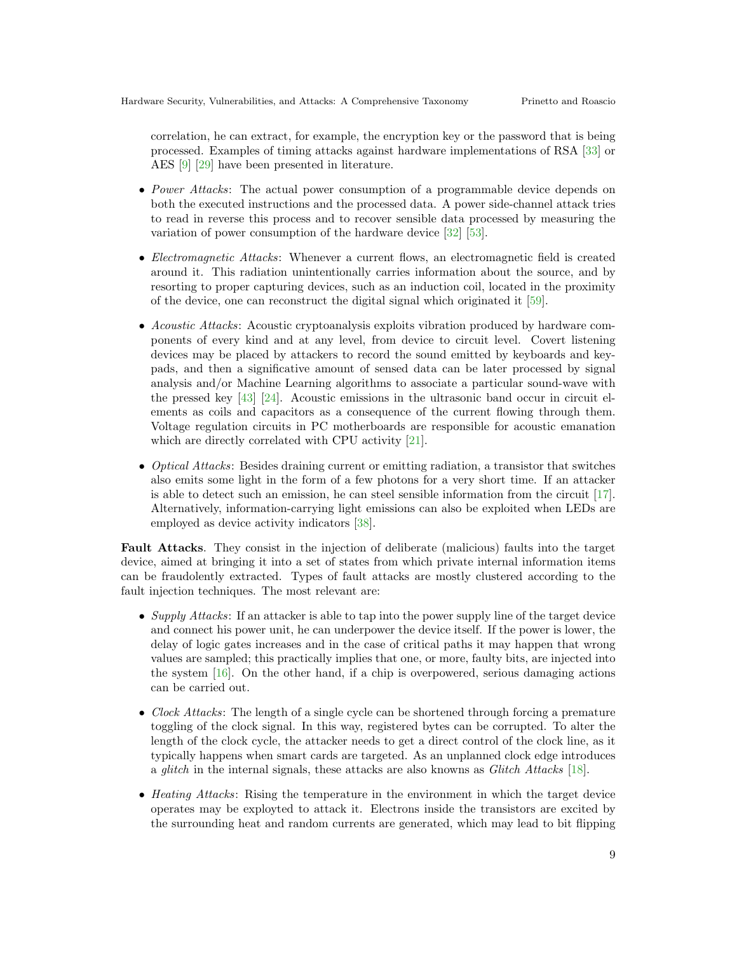correlation, he can extract, for example, the encryption key or the password that is being processed. Examples of timing attacks against hardware implementations of RSA [\[33\]](#page-11-0) or AES [\[9\]](#page-10-15) [\[29\]](#page-11-15) have been presented in literature.

- *Power Attacks*: The actual power consumption of a programmable device depends on both the executed instructions and the processed data. A power side-channel attack tries to read in reverse this process and to recover sensible data processed by measuring the variation of power consumption of the hardware device [\[32\]](#page-11-1) [\[53\]](#page-12-13).
- Electromagnetic Attacks: Whenever a current flows, an electromagnetic field is created around it. This radiation unintentionally carries information about the source, and by resorting to proper capturing devices, such as an induction coil, located in the proximity of the device, one can reconstruct the digital signal which originated it [\[59\]](#page-12-14).
- Acoustic Attacks: Acoustic cryptoanalysis exploits vibration produced by hardware components of every kind and at any level, from device to circuit level. Covert listening devices may be placed by attackers to record the sound emitted by keyboards and keypads, and then a significative amount of sensed data can be later processed by signal analysis and/or Machine Learning algorithms to associate a particular sound-wave with the pressed key [\[43\]](#page-12-15) [\[24\]](#page-11-16). Acoustic emissions in the ultrasonic band occur in circuit elements as coils and capacitors as a consequence of the current flowing through them. Voltage regulation circuits in PC motherboards are responsible for acoustic emanation which are directly correlated with CPU activity [\[21\]](#page-10-16).
- Optical Attacks: Besides draining current or emitting radiation, a transistor that switches also emits some light in the form of a few photons for a very short time. If an attacker is able to detect such an emission, he can steel sensible information from the circuit [\[17\]](#page-10-17). Alternatively, information-carrying light emissions can also be exploited when LEDs are employed as device activity indicators [\[38\]](#page-11-17).

Fault Attacks. They consist in the injection of deliberate (malicious) faults into the target device, aimed at bringing it into a set of states from which private internal information items can be fraudolently extracted. Types of fault attacks are mostly clustered according to the fault injection techniques. The most relevant are:

- Supply Attacks: If an attacker is able to tap into the power supply line of the target device and connect his power unit, he can underpower the device itself. If the power is lower, the delay of logic gates increases and in the case of critical paths it may happen that wrong values are sampled; this practically implies that one, or more, faulty bits, are injected into the system [\[16\]](#page-10-18). On the other hand, if a chip is overpowered, serious damaging actions can be carried out.
- Clock Attacks: The length of a single cycle can be shortened through forcing a premature toggling of the clock signal. In this way, registered bytes can be corrupted. To alter the length of the clock cycle, the attacker needs to get a direct control of the clock line, as it typically happens when smart cards are targeted. As an unplanned clock edge introduces a glitch in the internal signals, these attacks are also knowns as Glitch Attacks [\[18\]](#page-10-19).
- Heating Attacks: Rising the temperature in the environment in which the target device operates may be exployted to attack it. Electrons inside the transistors are excited by the surrounding heat and random currents are generated, which may lead to bit flipping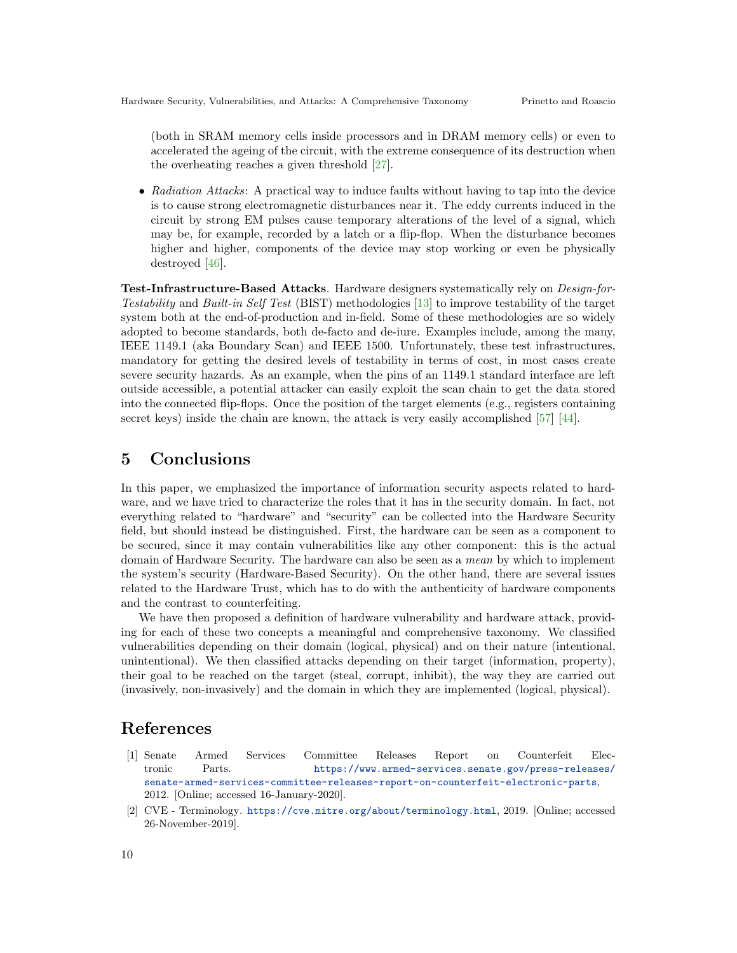(both in SRAM memory cells inside processors and in DRAM memory cells) or even to accelerated the ageing of the circuit, with the extreme consequence of its destruction when the overheating reaches a given threshold [\[27\]](#page-11-18).

• Radiation Attacks: A practical way to induce faults without having to tap into the device is to cause strong electromagnetic disturbances near it. The eddy currents induced in the circuit by strong EM pulses cause temporary alterations of the level of a signal, which may be, for example, recorded by a latch or a flip-flop. When the disturbance becomes higher and higher, components of the device may stop working or even be physically destroyed [\[46\]](#page-12-16).

Test-Infrastructure-Based Attacks. Hardware designers systematically rely on Design-for-Testability and Built-in Self Test (BIST) methodologies [\[13\]](#page-10-1) to improve testability of the target system both at the end-of-production and in-field. Some of these methodologies are so widely adopted to become standards, both de-facto and de-iure. Examples include, among the many, IEEE 1149.1 (aka Boundary Scan) and IEEE 1500. Unfortunately, these test infrastructures, mandatory for getting the desired levels of testability in terms of cost, in most cases create severe security hazards. As an example, when the pins of an 1149.1 standard interface are left outside accessible, a potential attacker can easily exploit the scan chain to get the data stored into the connected flip-flops. Once the position of the target elements (e.g., registers containing secret keys) inside the chain are known, the attack is very easily accomplished [\[57\]](#page-12-11) [\[44\]](#page-12-12).

# <span id="page-9-1"></span>5 Conclusions

In this paper, we emphasized the importance of information security aspects related to hardware, and we have tried to characterize the roles that it has in the security domain. In fact, not everything related to "hardware" and "security" can be collected into the Hardware Security field, but should instead be distinguished. First, the hardware can be seen as a component to be secured, since it may contain vulnerabilities like any other component: this is the actual domain of Hardware Security. The hardware can also be seen as a mean by which to implement the system's security (Hardware-Based Security). On the other hand, there are several issues related to the Hardware Trust, which has to do with the authenticity of hardware components and the contrast to counterfeiting.

We have then proposed a definition of hardware vulnerability and hardware attack, providing for each of these two concepts a meaningful and comprehensive taxonomy. We classified vulnerabilities depending on their domain (logical, physical) and on their nature (intentional, unintentional). We then classified attacks depending on their target (information, property), their goal to be reached on the target (steal, corrupt, inhibit), the way they are carried out (invasively, non-invasively) and the domain in which they are implemented (logical, physical).

### References

- <span id="page-9-2"></span>[1] Senate Armed Services Committee Releases Report on Counterfeit Electronic Parts. [https://www.armed-services.senate.gov/press-releases/](https://www.armed-services.senate.gov/press-releases/senate-armed-services-committee-releases-report-on-counterfeit-electronic-parts) [senate-armed-services-committee-releases-report-on-counterfeit-electronic-parts](https://www.armed-services.senate.gov/press-releases/senate-armed-services-committee-releases-report-on-counterfeit-electronic-parts), 2012. [Online; accessed 16-January-2020].
- <span id="page-9-0"></span>[2] CVE - Terminology. <https://cve.mitre.org/about/terminology.html>, 2019. [Online; accessed 26-November-2019].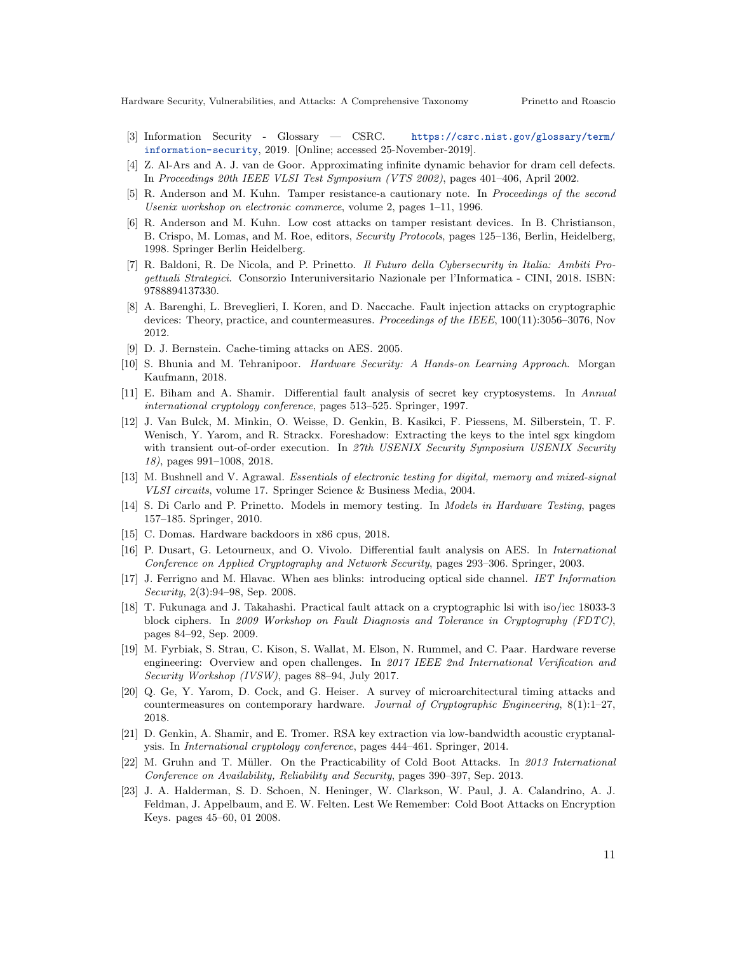Hardware Security, Vulnerabilities, and Attacks: A Comprehensive Taxonomy Prinetto and Roascio

- [3] Information Security Glossary CSRC. [https://csrc.nist.gov/glossary/term/](https://csrc.nist.gov/glossary/term/information-security) [information-security](https://csrc.nist.gov/glossary/term/information-security), 2019. [Online; accessed 25-November-2019].
- <span id="page-10-6"></span>[4] Z. Al-Ars and A. J. van de Goor. Approximating infinite dynamic behavior for dram cell defects. In Proceedings 20th IEEE VLSI Test Symposium (VTS 2002), pages 401–406, April 2002.
- <span id="page-10-2"></span>[5] R. Anderson and M. Kuhn. Tamper resistance-a cautionary note. In Proceedings of the second Usenix workshop on electronic commerce, volume 2, pages 1–11, 1996.
- <span id="page-10-3"></span>[6] R. Anderson and M. Kuhn. Low cost attacks on tamper resistant devices. In B. Christianson, B. Crispo, M. Lomas, and M. Roe, editors, *Security Protocols*, pages 125–136, Berlin, Heidelberg, 1998. Springer Berlin Heidelberg.
- <span id="page-10-0"></span>[7] R. Baldoni, R. De Nicola, and P. Prinetto. Il Futuro della Cybersecurity in Italia: Ambiti Progettuali Strategici. Consorzio Interuniversitario Nazionale per l'Informatica - CINI, 2018. ISBN: 9788894137330.
- <span id="page-10-14"></span>[8] A. Barenghi, L. Breveglieri, I. Koren, and D. Naccache. Fault injection attacks on cryptographic devices: Theory, practice, and countermeasures. Proceedings of the IEEE, 100(11):3056–3076, Nov 2012.
- <span id="page-10-15"></span>[9] D. J. Bernstein. Cache-timing attacks on AES. 2005.
- <span id="page-10-4"></span>[10] S. Bhunia and M. Tehranipoor. Hardware Security: A Hands-on Learning Approach. Morgan Kaufmann, 2018.
- <span id="page-10-13"></span>[11] E. Biham and A. Shamir. Differential fault analysis of secret key cryptosystems. In Annual international cryptology conference, pages 513–525. Springer, 1997.
- <span id="page-10-9"></span>[12] J. Van Bulck, M. Minkin, O. Weisse, D. Genkin, B. Kasikci, F. Piessens, M. Silberstein, T. F. Wenisch, Y. Yarom, and R. Strackx. Foreshadow: Extracting the keys to the intel sgx kingdom with transient out-of-order execution. In 27th USENIX Security Symposium USENIX Security 18), pages 991–1008, 2018.
- <span id="page-10-1"></span>[13] M. Bushnell and V. Agrawal. Essentials of electronic testing for digital, memory and mixed-signal VLSI circuits, volume 17. Springer Science & Business Media, 2004.
- <span id="page-10-7"></span>[14] S. Di Carlo and P. Prinetto. Models in memory testing. In Models in Hardware Testing, pages 157–185. Springer, 2010.
- <span id="page-10-5"></span>[15] C. Domas. Hardware backdoors in x86 cpus, 2018.
- <span id="page-10-18"></span>[16] P. Dusart, G. Letourneux, and O. Vivolo. Differential fault analysis on AES. In International Conference on Applied Cryptography and Network Security, pages 293–306. Springer, 2003.
- <span id="page-10-17"></span>[17] J. Ferrigno and M. Hlavac. When aes blinks: introducing optical side channel. IET Information Security, 2(3):94–98, Sep. 2008.
- <span id="page-10-19"></span>[18] T. Fukunaga and J. Takahashi. Practical fault attack on a cryptographic lsi with iso/iec 18033-3 block ciphers. In 2009 Workshop on Fault Diagnosis and Tolerance in Cryptography (FDTC), pages 84–92, Sep. 2009.
- <span id="page-10-10"></span>[19] M. Fyrbiak, S. Strau, C. Kison, S. Wallat, M. Elson, N. Rummel, and C. Paar. Hardware reverse engineering: Overview and open challenges. In 2017 IEEE 2nd International Verification and Security Workshop (IVSW), pages 88–94, July 2017.
- <span id="page-10-8"></span>[20] Q. Ge, Y. Yarom, D. Cock, and G. Heiser. A survey of microarchitectural timing attacks and countermeasures on contemporary hardware. Journal of Cryptographic Engineering,  $8(1):1-27$ , 2018.
- <span id="page-10-16"></span>[21] D. Genkin, A. Shamir, and E. Tromer. RSA key extraction via low-bandwidth acoustic cryptanalysis. In International cryptology conference, pages 444–461. Springer, 2014.
- <span id="page-10-12"></span>[22] M. Gruhn and T. M¨uller. On the Practicability of Cold Boot Attacks. In 2013 International Conference on Availability, Reliability and Security, pages 390–397, Sep. 2013.
- <span id="page-10-11"></span>[23] J. A. Halderman, S. D. Schoen, N. Heninger, W. Clarkson, W. Paul, J. A. Calandrino, A. J. Feldman, J. Appelbaum, and E. W. Felten. Lest We Remember: Cold Boot Attacks on Encryption Keys. pages 45–60, 01 2008.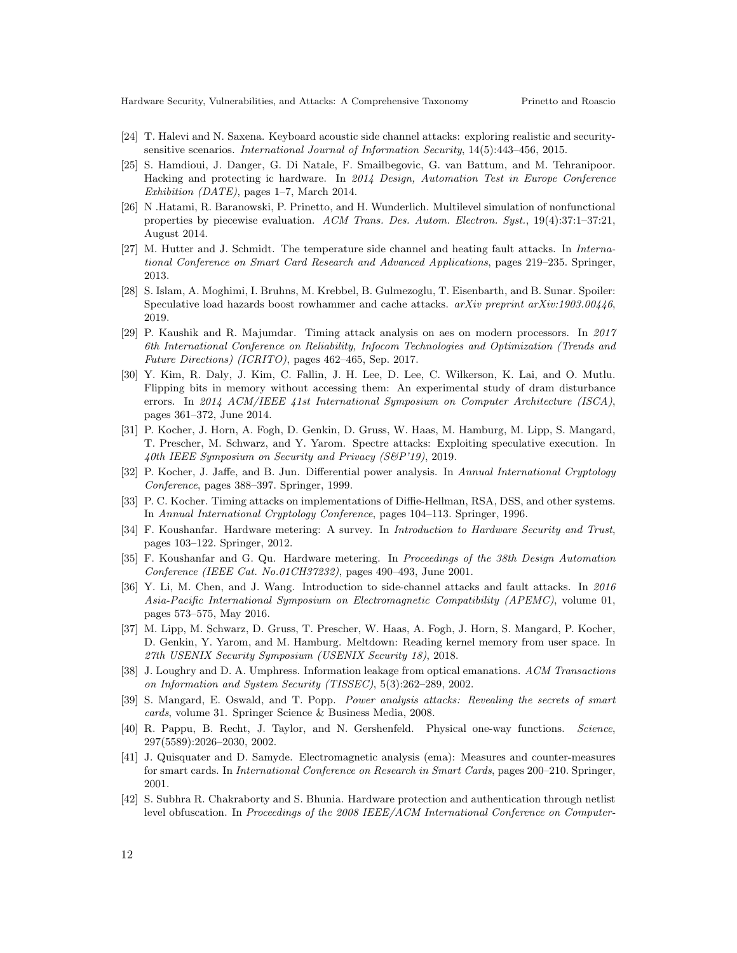- <span id="page-11-16"></span>[24] T. Halevi and N. Saxena. Keyboard acoustic side channel attacks: exploring realistic and securitysensitive scenarios. International Journal of Information Security, 14(5):443–456, 2015.
- <span id="page-11-8"></span>[25] S. Hamdioui, J. Danger, G. Di Natale, F. Smailbegovic, G. van Battum, and M. Tehranipoor. Hacking and protecting ic hardware. In 2014 Design, Automation Test in Europe Conference Exhibition (DATE), pages 1–7, March 2014.
- <span id="page-11-12"></span>[26] N .Hatami, R. Baranowski, P. Prinetto, and H. Wunderlich. Multilevel simulation of nonfunctional properties by piecewise evaluation. ACM Trans. Des. Autom. Electron. Syst., 19(4):37:1–37:21, August 2014.
- <span id="page-11-18"></span>[27] M. Hutter and J. Schmidt. The temperature side channel and heating fault attacks. In International Conference on Smart Card Research and Advanced Applications, pages 219–235. Springer, 2013.
- <span id="page-11-13"></span>[28] S. Islam, A. Moghimi, I. Bruhns, M. Krebbel, B. Gulmezoglu, T. Eisenbarth, and B. Sunar. Spoiler: Speculative load hazards boost rowhammer and cache attacks.  $arXiv$  preprint  $arXiv:1903.00446$ , 2019.
- <span id="page-11-15"></span>[29] P. Kaushik and R. Majumdar. Timing attack analysis on aes on modern processors. In 2017 6th International Conference on Reliability, Infocom Technologies and Optimization (Trends and Future Directions) (ICRITO), pages 462–465, Sep. 2017.
- <span id="page-11-11"></span>[30] Y. Kim, R. Daly, J. Kim, C. Fallin, J. H. Lee, D. Lee, C. Wilkerson, K. Lai, and O. Mutlu. Flipping bits in memory without accessing them: An experimental study of dram disturbance errors. In 2014 ACM/IEEE 41st International Symposium on Computer Architecture (ISCA), pages 361–372, June 2014.
- <span id="page-11-10"></span>[31] P. Kocher, J. Horn, A. Fogh, D. Genkin, D. Gruss, W. Haas, M. Hamburg, M. Lipp, S. Mangard, T. Prescher, M. Schwarz, and Y. Yarom. Spectre attacks: Exploiting speculative execution. In 40th IEEE Symposium on Security and Privacy (S&P'19), 2019.
- <span id="page-11-1"></span>[32] P. Kocher, J. Jaffe, and B. Jun. Differential power analysis. In Annual International Cryptology Conference, pages 388–397. Springer, 1999.
- <span id="page-11-0"></span>[33] P. C. Kocher. Timing attacks on implementations of Diffie-Hellman, RSA, DSS, and other systems. In Annual International Cryptology Conference, pages 104–113. Springer, 1996.
- <span id="page-11-5"></span>[34] F. Koushanfar. Hardware metering: A survey. In Introduction to Hardware Security and Trust, pages 103–122. Springer, 2012.
- <span id="page-11-4"></span>[35] F. Koushanfar and G. Qu. Hardware metering. In Proceedings of the 38th Design Automation Conference (IEEE Cat. No.01CH37232), pages 490–493, June 2001.
- <span id="page-11-14"></span>[36] Y. Li, M. Chen, and J. Wang. Introduction to side-channel attacks and fault attacks. In 2016 Asia-Pacific International Symposium on Electromagnetic Compatibility (APEMC), volume 01, pages 573–575, May 2016.
- <span id="page-11-9"></span>[37] M. Lipp, M. Schwarz, D. Gruss, T. Prescher, W. Haas, A. Fogh, J. Horn, S. Mangard, P. Kocher, D. Genkin, Y. Yarom, and M. Hamburg. Meltdown: Reading kernel memory from user space. In 27th USENIX Security Symposium (USENIX Security 18), 2018.
- <span id="page-11-17"></span>[38] J. Loughry and D. A. Umphress. Information leakage from optical emanations. ACM Transactions on Information and System Security (TISSEC), 5(3):262–289, 2002.
- <span id="page-11-3"></span>[39] S. Mangard, E. Oswald, and T. Popp. Power analysis attacks: Revealing the secrets of smart cards, volume 31. Springer Science & Business Media, 2008.
- <span id="page-11-6"></span>[40] R. Pappu, B. Recht, J. Taylor, and N. Gershenfeld. Physical one-way functions. Science, 297(5589):2026–2030, 2002.
- <span id="page-11-2"></span>[41] J. Quisquater and D. Samyde. Electromagnetic analysis (ema): Measures and counter-measures for smart cards. In International Conference on Research in Smart Cards, pages 200–210. Springer, 2001.
- <span id="page-11-7"></span>[42] S. Subhra R. Chakraborty and S. Bhunia. Hardware protection and authentication through netlist level obfuscation. In Proceedings of the 2008 IEEE/ACM International Conference on Computer-